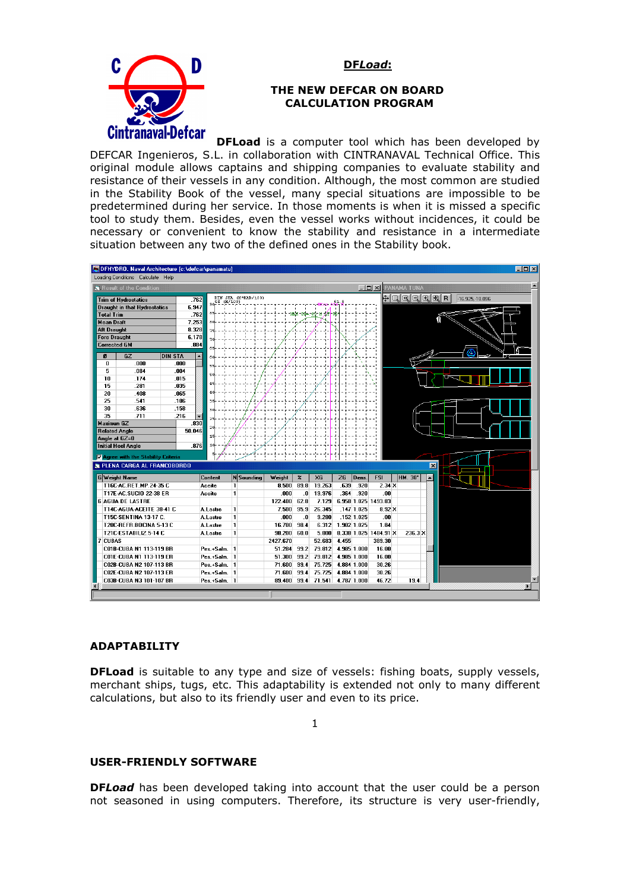**DF***Load***:**



#### **THE NEW DEFCAR ON BOARD CALCULATION PROGRAM**

**DFLoad** is a computer tool which has been developed by DEFCAR Ingenieros, S.L. in collaboration with CINTRANAVAL Technical Office. This original module allows captains and shipping companies to evaluate stability and resistance of their vessels in any condition. Although, the most common are studied in the Stability Book of the vessel, many special situations are impossible to be predetermined during her service. In those moments is when it is missed a specific tool to study them. Besides, even the vessel works without incidences, it could be necessary or convenient to know the stability and resistance in a intermediate situation between any two of the defined ones in the Stability book.



### **ADAPTABILITY**

**DFLoad** is suitable to any type and size of vessels: fishing boats, supply vessels, merchant ships, tugs, etc. This adaptability is extended not only to many different calculations, but also to its friendly user and even to its price.

1

### **USER-FRIENDLY SOFTWARE**

**DF***Load* has been developed taking into account that the user could be a person not seasoned in using computers. Therefore, its structure is very user-friendly,